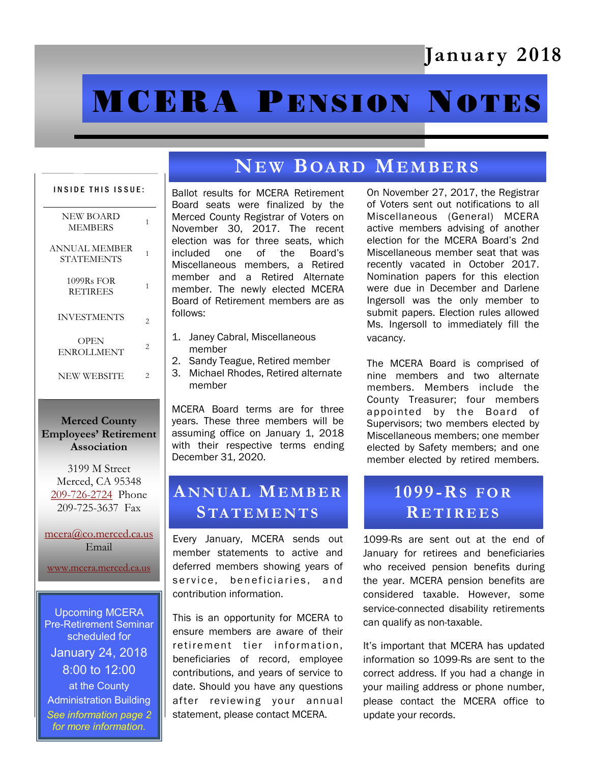# January 2018

# **MCERA PENSION NOTES**

# INSIDE THIS ISSUE: NEW BOARD MEMBERS <sup>1</sup> ANNUAL MEMBER STATEMENTS<sup>1</sup> 1099Rs FOR RETIREES<sup>1</sup> INVESTMENTS  $_{2}$ **OPEN** ENROLLMENT <sup>2</sup> NEW WEBSITE 2

#### Merced County Employees' Retirement Association

3199 M Street Merced, CA 95348 [209-726-2724](tel:+12097262724) Phone 209-725-3637 Fax

[mcera@co.merced.ca.us](mailto:mcera@co.merced.ca.us) Email

[www.mcera.merced.ca.us](http://www.mcera.merced.ca.us) 

Upcoming MCERA Pre-Retirement Seminar scheduled for January 24, 2018 8:00 to 12:00 at the County Administration Building *See information page 2 for more information.*

# NEW BOARD MEMBERS

Ballot results for MCERA Retirement Board seats were finalized by the Merced County Registrar of Voters on November 30, 2017. The recent election was for three seats, which included one of the Board's Miscellaneous members, a Retired member and a Retired Alternate member. The newly elected MCERA Board of Retirement members are as follows:

- 1. Janey Cabral, Miscellaneous member
- 2. Sandy Teague, Retired member
- 3. Michael Rhodes, Retired alternate member

MCERA Board terms are for three years. These three members will be assuming office on January 1, 2018 with their respective terms ending December 31, 2020.

## ANNUAL MEMBER **STATEMENTS**

Every January, MCERA sends out member statements to active and deferred members showing years of service, beneficiaries, and contribution information.

This is an opportunity for MCERA to ensure members are aware of their retirement tier information, beneficiaries of record, employee contributions, and years of service to date. Should you have any questions after reviewing your annual statement, please contact MCERA.

On November 27, 2017, the Registrar of Voters sent out notifications to all Miscellaneous (General) MCERA active members advising of another election for the MCERA Board's 2nd Miscellaneous member seat that was recently vacated in October 2017. Nomination papers for this election were due in December and Darlene Ingersoll was the only member to submit papers. Election rules allowed Ms. Ingersoll to immediately fill the vacancy.

The MCERA Board is comprised of nine members and two alternate members. Members include the County Treasurer; four members appointed by the Board of Supervisors; two members elected by Miscellaneous members; one member elected by Safety members; and one member elected by retired members.

# 1099-RS FOR **RETIREES**

1099-Rs are sent out at the end of January for retirees and beneficiaries who received pension benefits during the year. MCERA pension benefits are considered taxable. However, some service-connected disability retirements can qualify as non-taxable.

It's important that MCERA has updated information so 1099-Rs are sent to the correct address. If you had a change in your mailing address or phone number, please contact the MCERA office to update your records.